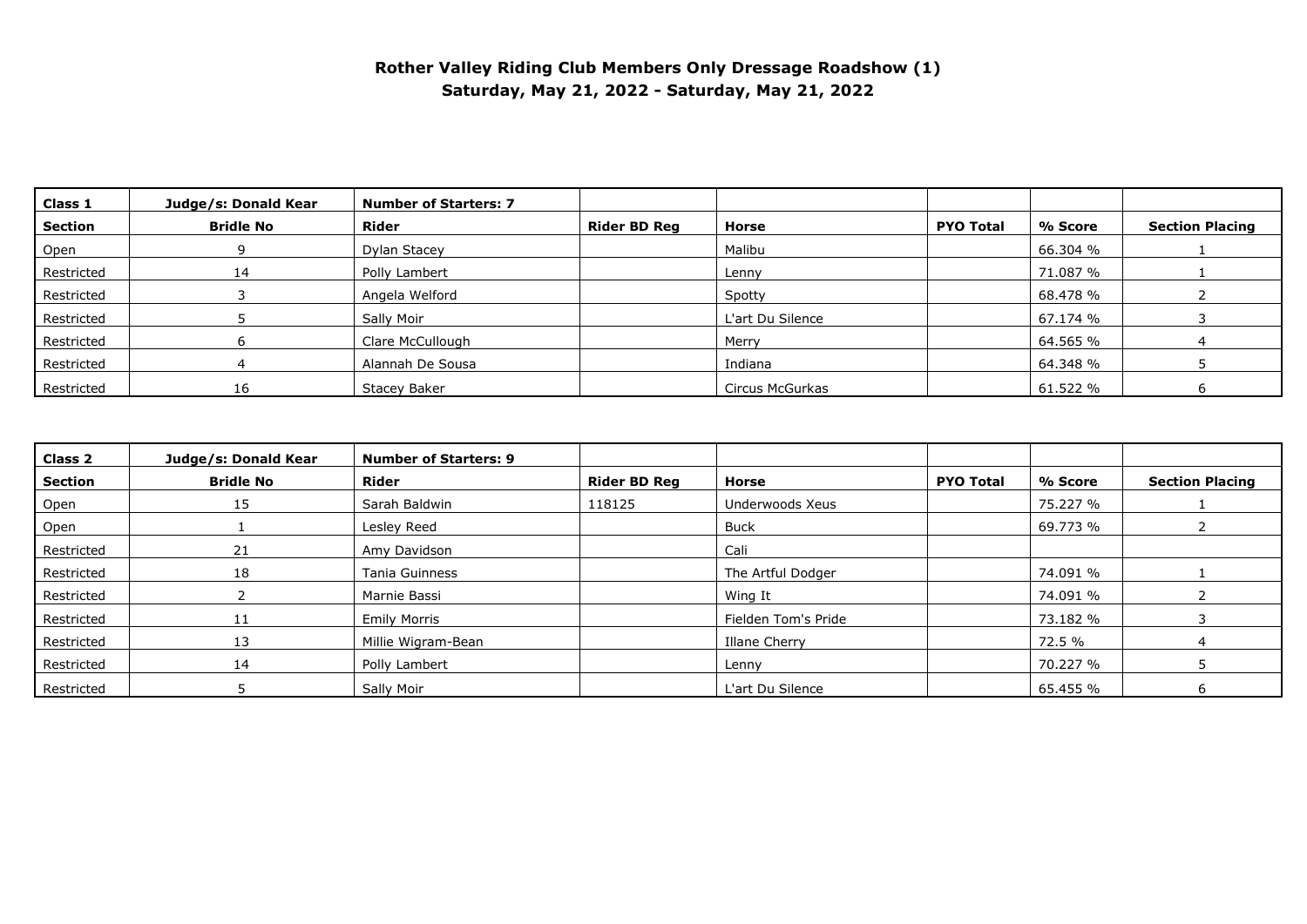## **Rother Valley Riding Club Members Only Dressage Roadshow (1) Saturday, May 21, 2022 - Saturday, May 21, 2022**

| Class 1    | Judge/s: Donald Kear | <b>Number of Starters: 7</b> |                     |                  |                  |          |                        |
|------------|----------------------|------------------------------|---------------------|------------------|------------------|----------|------------------------|
| Section    | <b>Bridle No</b>     | <b>Rider</b>                 | <b>Rider BD Reg</b> | Horse            | <b>PYO Total</b> | % Score  | <b>Section Placing</b> |
| Open       |                      | Dylan Stacey                 |                     | Malibu           |                  | 66.304 % |                        |
| Restricted | 14                   | Polly Lambert                |                     | Lenny            |                  | 71.087 % |                        |
| Restricted |                      | Angela Welford               |                     | Spotty           |                  | 68.478 % |                        |
| Restricted |                      | Sally Moir                   |                     | L'art Du Silence |                  | 67.174 % |                        |
| Restricted |                      | Clare McCullough             |                     | Merry            |                  | 64.565 % |                        |
| Restricted |                      | Alannah De Sousa             |                     | Indiana          |                  | 64.348 % |                        |
| Restricted | 16                   | Stacey Baker                 |                     | Circus McGurkas  |                  | 61.522 % |                        |

| Class 2    | Judge/s: Donald Kear | <b>Number of Starters: 9</b> |                     |                     |                  |          |                        |
|------------|----------------------|------------------------------|---------------------|---------------------|------------------|----------|------------------------|
| Section    | <b>Bridle No</b>     | Rider                        | <b>Rider BD Reg</b> | Horse               | <b>PYO Total</b> | % Score  | <b>Section Placing</b> |
| Open       | 15                   | Sarah Baldwin                | 118125              | Underwoods Xeus     |                  | 75.227 % |                        |
| Open       |                      | Lesley Reed                  |                     | <b>Buck</b>         |                  | 69.773 % |                        |
| Restricted | 21                   | Amy Davidson                 |                     | Cali                |                  |          |                        |
| Restricted | 18                   | Tania Guinness               |                     | The Artful Dodger   |                  | 74.091 % |                        |
| Restricted |                      | Marnie Bassi                 |                     | Wing It             |                  | 74.091 % |                        |
| Restricted | 11                   | <b>Emily Morris</b>          |                     | Fielden Tom's Pride |                  | 73.182 % |                        |
| Restricted | 13                   | Millie Wigram-Bean           |                     | Illane Cherry       |                  | 72.5 %   |                        |
| Restricted | 14                   | Polly Lambert                |                     | Lenny               |                  | 70.227 % |                        |
| Restricted |                      | Sally Moir                   |                     | L'art Du Silence    |                  | 65.455 % |                        |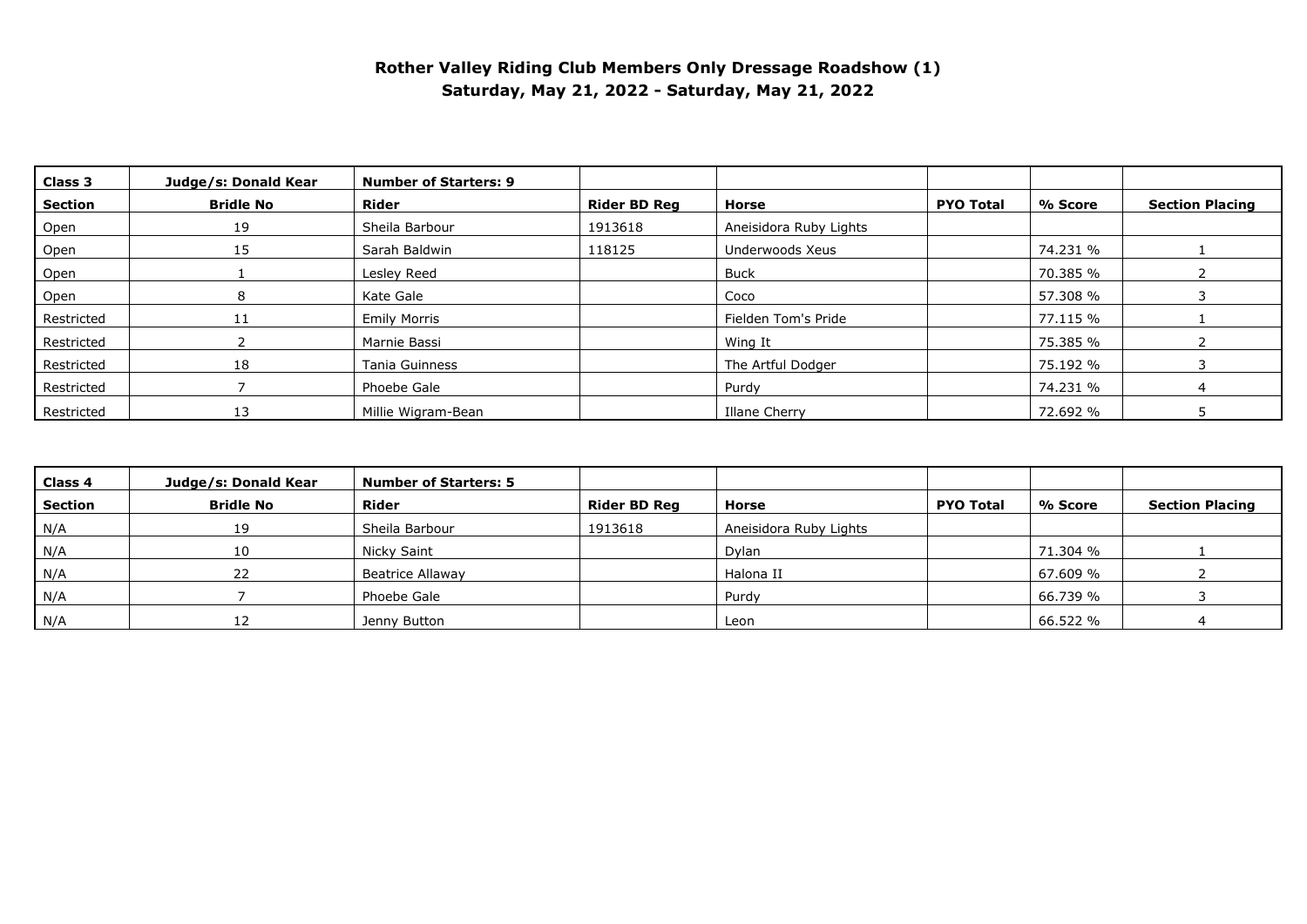## **Rother Valley Riding Club Members Only Dressage Roadshow (1) Saturday, May 21, 2022 - Saturday, May 21, 2022**

| Class 3    | Judge/s: Donald Kear | <b>Number of Starters: 9</b> |                     |                        |                  |          |                        |
|------------|----------------------|------------------------------|---------------------|------------------------|------------------|----------|------------------------|
| Section    | <b>Bridle No</b>     | Rider                        | <b>Rider BD Reg</b> | Horse                  | <b>PYO Total</b> | % Score  | <b>Section Placing</b> |
| Open       | 19                   | Sheila Barbour               | 1913618             | Aneisidora Ruby Lights |                  |          |                        |
| Open       | 15                   | Sarah Baldwin                | 118125              | Underwoods Xeus        |                  | 74.231 % |                        |
| Open       |                      | Lesley Reed                  |                     | <b>Buck</b>            |                  | 70.385 % |                        |
| Open       |                      | Kate Gale                    |                     | Coco                   |                  | 57.308 % |                        |
| Restricted |                      | <b>Emily Morris</b>          |                     | Fielden Tom's Pride    |                  | 77.115 % |                        |
| Restricted |                      | Marnie Bassi                 |                     | Wing It                |                  | 75.385 % |                        |
| Restricted | 18                   | <b>Tania Guinness</b>        |                     | The Artful Dodger      |                  | 75.192 % |                        |
| Restricted |                      | Phoebe Gale                  |                     | Purdy                  |                  | 74.231 % |                        |
| Restricted | 13                   | Millie Wigram-Bean           |                     | Illane Cherry          |                  | 72.692 % |                        |

| Class 4 | Judge/s: Donald Kear | <b>Number of Starters: 5</b> |                     |                        |                  |          |                        |
|---------|----------------------|------------------------------|---------------------|------------------------|------------------|----------|------------------------|
| Section | <b>Bridle No</b>     | <b>Rider</b>                 | <b>Rider BD Reg</b> | Horse                  | <b>PYO Total</b> | % Score  | <b>Section Placing</b> |
| N/A     | 19                   | Sheila Barbour               | 1913618             | Aneisidora Ruby Lights |                  |          |                        |
| N/A     | 10                   | Nicky Saint                  |                     | Dylan                  |                  | 71.304 % |                        |
| N/A     | 22                   | Beatrice Allaway             |                     | Halona II              |                  | 67.609 % |                        |
| N/A     |                      | Phoebe Gale                  |                     | Purdy                  |                  | 66.739 % |                        |
| N/A     |                      | Jenny Button                 |                     | Leon                   |                  | 66.522 % |                        |